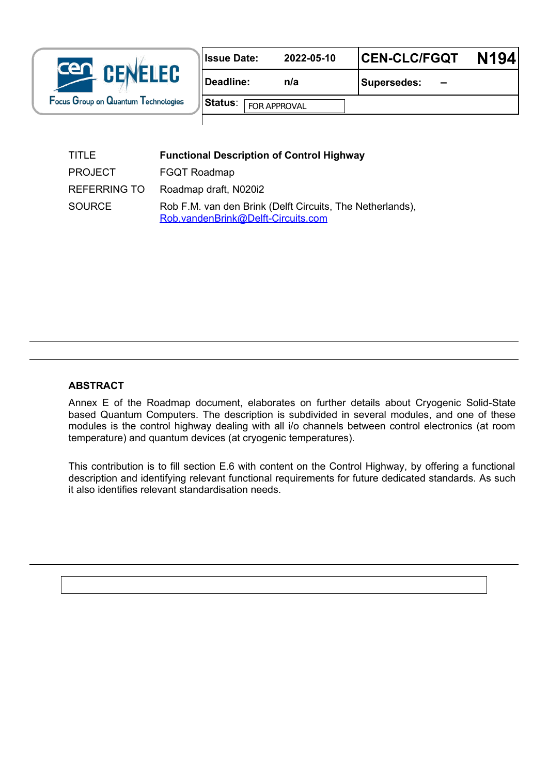| cen<br><b>CENELEC</b><br>Focus Group on Quantum Technologies | <b>Issue Date:</b>                    | 2022-05-10            | <b>CEN-CLC/FGQT</b>            | N <sub>194</sub> |
|--------------------------------------------------------------|---------------------------------------|-----------------------|--------------------------------|------------------|
|                                                              | Deadline:                             | n/a                   | <b>Supersedes:</b><br>$\equiv$ |                  |
|                                                              | <b>Status:</b><br><b>FOR APPROVAL</b> | $\blacktriangleright$ |                                |                  |
|                                                              |                                       |                       |                                |                  |

| TITLE          | <b>Functional Description of Control Highway</b>                                                |
|----------------|-------------------------------------------------------------------------------------------------|
| <b>PROJECT</b> | <b>FGQT Roadmap</b>                                                                             |
| REFERRING TO   | Roadmap draft, N020i2                                                                           |
| <b>SOURCE</b>  | Rob F.M. van den Brink (Delft Circuits, The Netherlands),<br>Rob.vandenBrink@Delft-Circuits.com |

#### **ABSTRACT**

Annex E of the Roadmap document, elaborates on further details about Cryogenic Solid-State based Quantum Computers. The description is subdivided in several modules, and one of these modules is the control highway dealing with all i/o channels between control electronics (at room temperature) and quantum devices (at cryogenic temperatures).

This contribution is to fill section E.6 with content on the Control Highway, by offering a functional description and identifying relevant functional requirements for future dedicated standards. As such it also identifies relevant standardisation needs.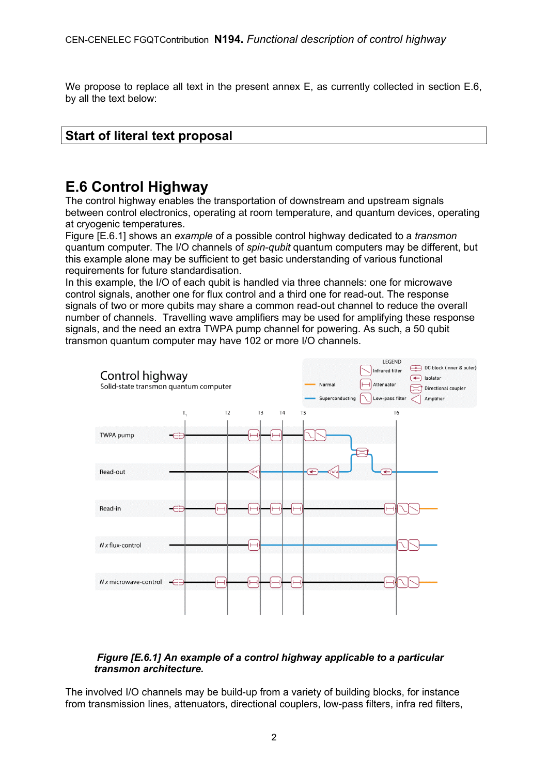We propose to replace all text in the present annex E, as currently collected in section E.6, by all the text below:

### **Start of literal text proposal**

# **E.6 Control Highway**

The control highway enables the transportation of downstream and upstream signals between control electronics, operating at room temperature, and quantum devices, operating at cryogenic temperatures.

Figure [E.6.1] shows an *example* of a possible control highway dedicated to a *transmon* quantum computer. The I/O channels of *spin-qubit* quantum computers may be different, but this example alone may be sufficient to get basic understanding of various functional requirements for future standardisation.

In this example, the I/O of each qubit is handled via three channels: one for microwave control signals, another one for flux control and a third one for read-out. The response signals of two or more qubits may share a common read-out channel to reduce the overall number of channels. Travelling wave amplifiers may be used for amplifying these response signals, and the need an extra TWPA pump channel for powering. As such, a 50 qubit transmon quantum computer may have 102 or more I/O channels.



#### *Figure [E.6.1] An example of a control highway applicable to a particular transmon architecture.*

The involved I/O channels may be build-up from a variety of building blocks, for instance from transmission lines, attenuators, directional couplers, low-pass filters, infra red filters,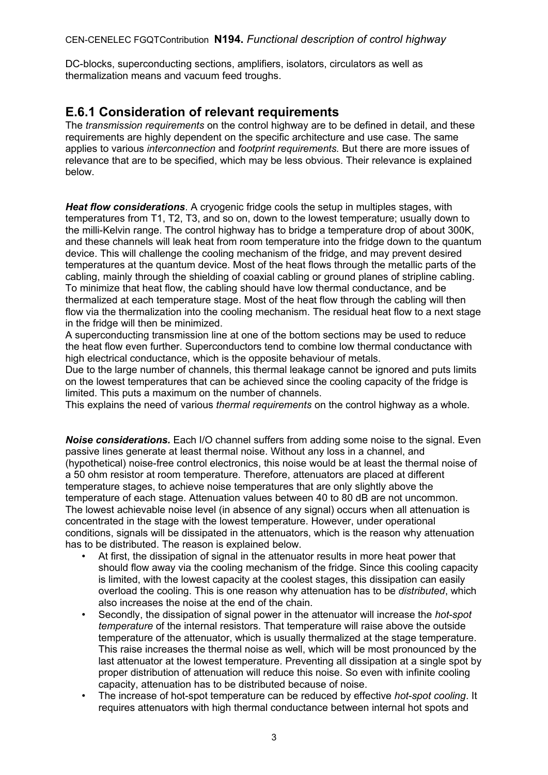DC-blocks, superconducting sections, amplifiers, isolators, circulators as well as thermalization means and vacuum feed troughs.

#### **E.6.1 Consideration of relevant requirements**

The *transmission requirements* on the control highway are to be defined in detail, and these requirements are highly dependent on the specific architecture and use case. The same applies to various *interconnection* and *footprint requirements.* But there are more issues of relevance that are to be specified, which may be less obvious. Their relevance is explained below.

*Heat flow considerations*. A cryogenic fridge cools the setup in multiples stages, with temperatures from T1, T2, T3, and so on, down to the lowest temperature; usually down to the milli-Kelvin range. The control highway has to bridge a temperature drop of about 300K, and these channels will leak heat from room temperature into the fridge down to the quantum device. This will challenge the cooling mechanism of the fridge, and may prevent desired temperatures at the quantum device. Most of the heat flows through the metallic parts of the cabling, mainly through the shielding of coaxial cabling or ground planes of stripline cabling. To minimize that heat flow, the cabling should have low thermal conductance, and be thermalized at each temperature stage. Most of the heat flow through the cabling will then flow via the thermalization into the cooling mechanism. The residual heat flow to a next stage in the fridge will then be minimized.

A superconducting transmission line at one of the bottom sections may be used to reduce the heat flow even further. Superconductors tend to combine low thermal conductance with high electrical conductance, which is the opposite behaviour of metals.

Due to the large number of channels, this thermal leakage cannot be ignored and puts limits on the lowest temperatures that can be achieved since the cooling capacity of the fridge is limited. This puts a maximum on the number of channels.

This explains the need of various *thermal requirements* on the control highway as a whole.

*Noise considerations.* Each I/O channel suffers from adding some noise to the signal. Even passive lines generate at least thermal noise. Without any loss in a channel, and (hypothetical) noise-free control electronics, this noise would be at least the thermal noise of a 50 ohm resistor at room temperature. Therefore, attenuators are placed at different temperature stages, to achieve noise temperatures that are only slightly above the temperature of each stage. Attenuation values between 40 to 80 dB are not uncommon. The lowest achievable noise level (in absence of any signal) occurs when all attenuation is concentrated in the stage with the lowest temperature. However, under operational conditions, signals will be dissipated in the attenuators, which is the reason why attenuation has to be distributed. The reason is explained below.

- At first, the dissipation of signal in the attenuator results in more heat power that should flow away via the cooling mechanism of the fridge. Since this cooling capacity is limited, with the lowest capacity at the coolest stages, this dissipation can easily overload the cooling. This is one reason why attenuation has to be *distributed*, which also increases the noise at the end of the chain.
- Secondly, the dissipation of signal power in the attenuator will increase the *hot-spot temperature* of the internal resistors. That temperature will raise above the outside temperature of the attenuator, which is usually thermalized at the stage temperature. This raise increases the thermal noise as well, which will be most pronounced by the last attenuator at the lowest temperature. Preventing all dissipation at a single spot by proper distribution of attenuation will reduce this noise. So even with infinite cooling capacity, attenuation has to be distributed because of noise.
- The increase of hot-spot temperature can be reduced by effective *hot-spot cooling*. It requires attenuators with high thermal conductance between internal hot spots and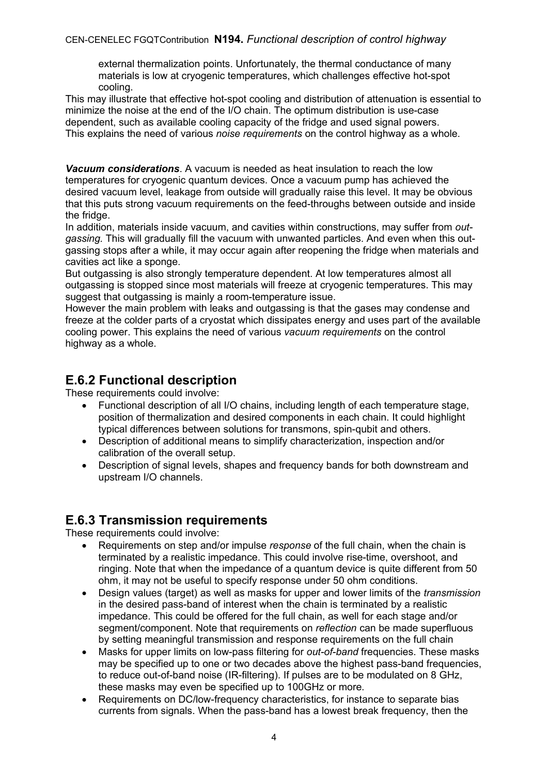#### CEN-CENELEC FGQTContribution **N194.** *Functional description of control highway*

external thermalization points. Unfortunately, the thermal conductance of many materials is low at cryogenic temperatures, which challenges effective hot-spot cooling.

This may illustrate that effective hot-spot cooling and distribution of attenuation is essential to minimize the noise at the end of the I/O chain. The optimum distribution is use-case dependent, such as available cooling capacity of the fridge and used signal powers. This explains the need of various *noise requirements* on the control highway as a whole.

*Vacuum considerations*. A vacuum is needed as heat insulation to reach the low temperatures for cryogenic quantum devices. Once a vacuum pump has achieved the desired vacuum level, leakage from outside will gradually raise this level. It may be obvious that this puts strong vacuum requirements on the feed-throughs between outside and inside the fridge.

In addition, materials inside vacuum, and cavities within constructions, may suffer from *outgassing.* This will gradually fill the vacuum with unwanted particles. And even when this outgassing stops after a while, it may occur again after reopening the fridge when materials and cavities act like a sponge.

But outgassing is also strongly temperature dependent. At low temperatures almost all outgassing is stopped since most materials will freeze at cryogenic temperatures. This may suggest that outgassing is mainly a room-temperature issue.

However the main problem with leaks and outgassing is that the gases may condense and freeze at the colder parts of a cryostat which dissipates energy and uses part of the available cooling power. This explains the need of various *vacuum requirements* on the control highway as a whole.

## **E.6.2 Functional description**

These requirements could involve:

- Functional description of all I/O chains, including length of each temperature stage, position of thermalization and desired components in each chain. It could highlight typical differences between solutions for transmons, spin-qubit and others.
- Description of additional means to simplify characterization, inspection and/or calibration of the overall setup.
- Description of signal levels, shapes and frequency bands for both downstream and upstream I/O channels.

### **E.6.3 Transmission requirements**

These requirements could involve:

- Requirements on step and/or impulse *response* of the full chain, when the chain is terminated by a realistic impedance. This could involve rise-time, overshoot, and ringing. Note that when the impedance of a quantum device is quite different from 50 ohm, it may not be useful to specify response under 50 ohm conditions.
- Design values (target) as well as masks for upper and lower limits of the *transmission* in the desired pass-band of interest when the chain is terminated by a realistic impedance. This could be offered for the full chain, as well for each stage and/or segment/component. Note that requirements on *reflection* can be made superfluous by setting meaningful transmission and response requirements on the full chain
- Masks for upper limits on low-pass filtering for *out-of-band* frequencies. These masks may be specified up to one or two decades above the highest pass-band frequencies, to reduce out-of-band noise (IR-filtering). If pulses are to be modulated on 8 GHz, these masks may even be specified up to 100GHz or more.
- Requirements on DC/low-frequency characteristics, for instance to separate bias currents from signals. When the pass-band has a lowest break frequency, then the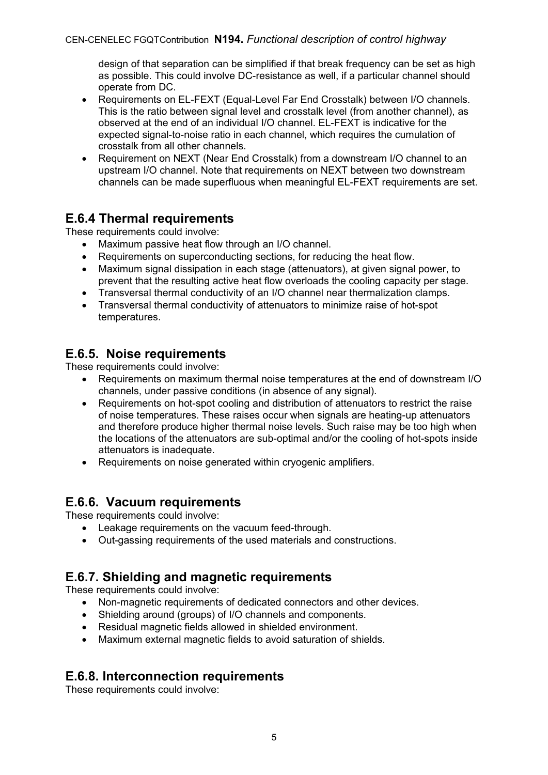design of that separation can be simplified if that break frequency can be set as high as possible. This could involve DC-resistance as well, if a particular channel should operate from DC.

- Requirements on EL-FEXT (Equal-Level Far End Crosstalk) between I/O channels. This is the ratio between signal level and crosstalk level (from another channel), as observed at the end of an individual I/O channel. EL-FEXT is indicative for the expected signal-to-noise ratio in each channel, which requires the cumulation of crosstalk from all other channels.
- Requirement on NEXT (Near End Crosstalk) from a downstream I/O channel to an upstream I/O channel. Note that requirements on NEXT between two downstream channels can be made superfluous when meaningful EL-FEXT requirements are set.

## **E.6.4 Thermal requirements**

These requirements could involve:

- Maximum passive heat flow through an I/O channel.
- Requirements on superconducting sections, for reducing the heat flow.
- Maximum signal dissipation in each stage (attenuators), at given signal power, to prevent that the resulting active heat flow overloads the cooling capacity per stage.
- Transversal thermal conductivity of an I/O channel near thermalization clamps.
- Transversal thermal conductivity of attenuators to minimize raise of hot-spot temperatures.

## **E.6.5. Noise requirements**

These requirements could involve:

- Requirements on maximum thermal noise temperatures at the end of downstream I/O channels, under passive conditions (in absence of any signal).
- Requirements on hot-spot cooling and distribution of attenuators to restrict the raise of noise temperatures. These raises occur when signals are heating-up attenuators and therefore produce higher thermal noise levels. Such raise may be too high when the locations of the attenuators are sub-optimal and/or the cooling of hot-spots inside attenuators is inadequate.
- Requirements on noise generated within cryogenic amplifiers.

### **E.6.6. Vacuum requirements**

These requirements could involve:

- Leakage requirements on the vacuum feed-through.
- Out-gassing requirements of the used materials and constructions.

# **E.6.7. Shielding and magnetic requirements**

These requirements could involve:

- Non-magnetic requirements of dedicated connectors and other devices.
- Shielding around (groups) of I/O channels and components.
- Residual magnetic fields allowed in shielded environment.
- Maximum external magnetic fields to avoid saturation of shields.

## **E.6.8. Interconnection requirements**

These requirements could involve: